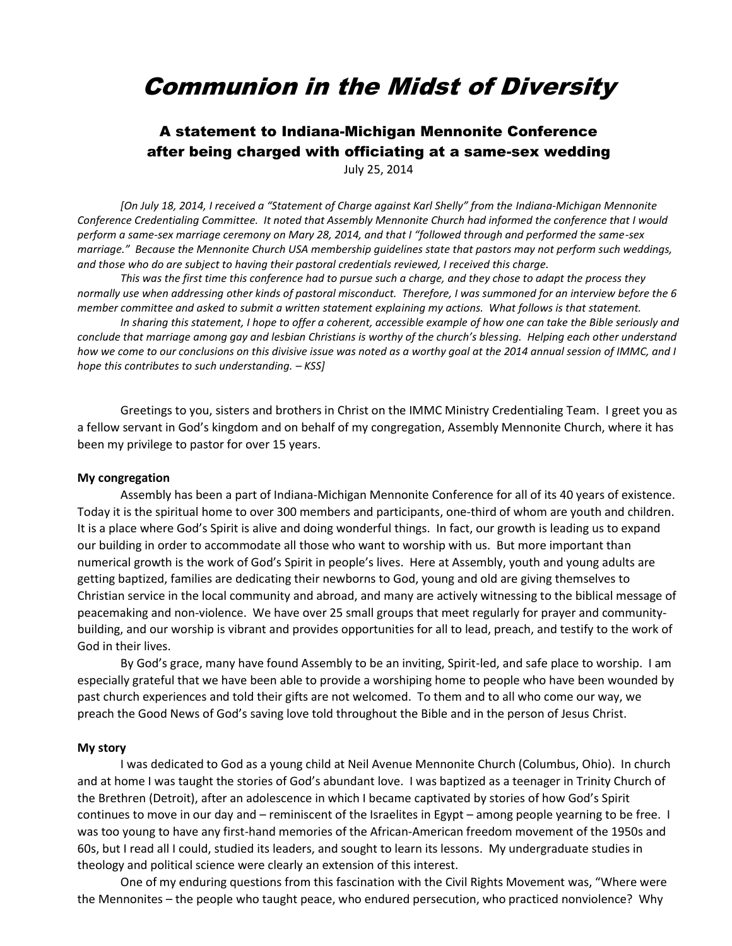# Communion in the Midst of Diversity

# A statement to Indiana-Michigan Mennonite Conference after being charged with officiating at a same-sex wedding

July 25, 2014

*[On July 18, 2014, I received a "Statement of Charge against Karl Shelly" from the Indiana-Michigan Mennonite Conference Credentialing Committee. It noted that Assembly Mennonite Church had informed the conference that I would perform a same-sex marriage ceremony on Mary 28, 2014, and that I "followed through and performed the same-sex marriage." Because the Mennonite Church USA membership guidelines state that pastors may not perform such weddings, and those who do are subject to having their pastoral credentials reviewed, I received this charge.*

*This was the first time this conference had to pursue such a charge, and they chose to adapt the process they normally use when addressing other kinds of pastoral misconduct. Therefore, I was summoned for an interview before the 6 member committee and asked to submit a written statement explaining my actions. What follows is that statement.*

*In sharing this statement, I hope to offer a coherent, accessible example of how one can take the Bible seriously and conclude that marriage among gay and lesbian Christians is worthy of the church's blessing. Helping each other understand how we come to our conclusions on this divisive issue was noted as a worthy goal at the 2014 annual session of IMMC, and I hope this contributes to such understanding. – KSS]*

Greetings to you, sisters and brothers in Christ on the IMMC Ministry Credentialing Team. I greet you as a fellow servant in God's kingdom and on behalf of my congregation, Assembly Mennonite Church, where it has been my privilege to pastor for over 15 years.

#### **My congregation**

Assembly has been a part of Indiana-Michigan Mennonite Conference for all of its 40 years of existence. Today it is the spiritual home to over 300 members and participants, one-third of whom are youth and children. It is a place where God's Spirit is alive and doing wonderful things. In fact, our growth is leading us to expand our building in order to accommodate all those who want to worship with us. But more important than numerical growth is the work of God's Spirit in people's lives. Here at Assembly, youth and young adults are getting baptized, families are dedicating their newborns to God, young and old are giving themselves to Christian service in the local community and abroad, and many are actively witnessing to the biblical message of peacemaking and non-violence. We have over 25 small groups that meet regularly for prayer and communitybuilding, and our worship is vibrant and provides opportunities for all to lead, preach, and testify to the work of God in their lives.

By God's grace, many have found Assembly to be an inviting, Spirit-led, and safe place to worship. I am especially grateful that we have been able to provide a worshiping home to people who have been wounded by past church experiences and told their gifts are not welcomed. To them and to all who come our way, we preach the Good News of God's saving love told throughout the Bible and in the person of Jesus Christ.

#### **My story**

I was dedicated to God as a young child at Neil Avenue Mennonite Church (Columbus, Ohio). In church and at home I was taught the stories of God's abundant love. I was baptized as a teenager in Trinity Church of the Brethren (Detroit), after an adolescence in which I became captivated by stories of how God's Spirit continues to move in our day and – reminiscent of the Israelites in Egypt – among people yearning to be free. I was too young to have any first-hand memories of the African-American freedom movement of the 1950s and 60s, but I read all I could, studied its leaders, and sought to learn its lessons. My undergraduate studies in theology and political science were clearly an extension of this interest.

One of my enduring questions from this fascination with the Civil Rights Movement was, "Where were the Mennonites – the people who taught peace, who endured persecution, who practiced nonviolence? Why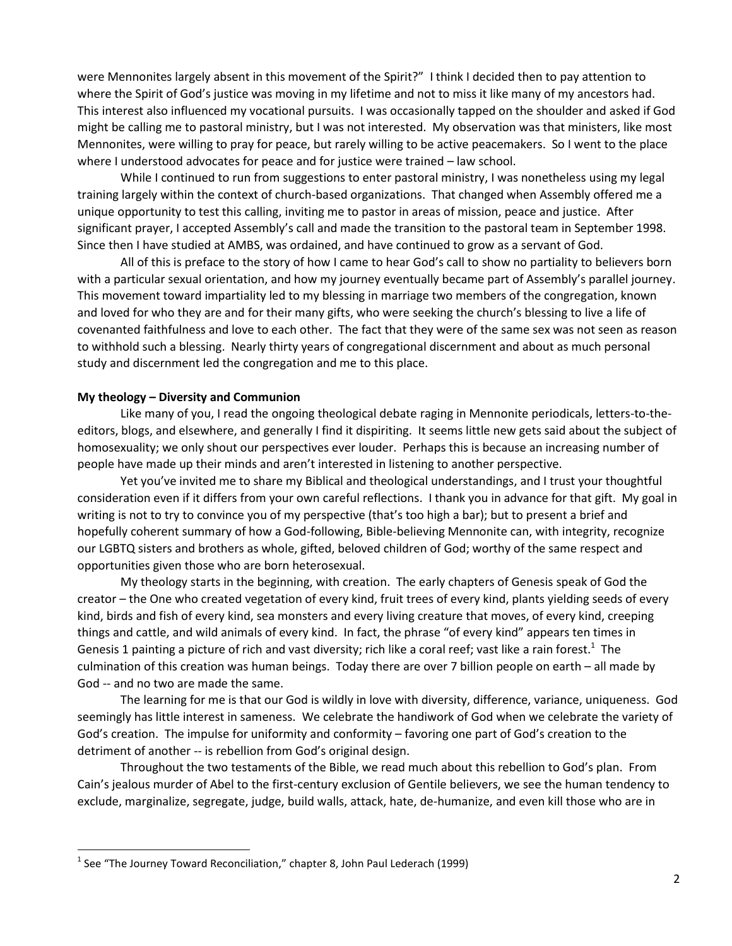were Mennonites largely absent in this movement of the Spirit?" I think I decided then to pay attention to where the Spirit of God's justice was moving in my lifetime and not to miss it like many of my ancestors had. This interest also influenced my vocational pursuits. I was occasionally tapped on the shoulder and asked if God might be calling me to pastoral ministry, but I was not interested. My observation was that ministers, like most Mennonites, were willing to pray for peace, but rarely willing to be active peacemakers. So I went to the place where I understood advocates for peace and for justice were trained – law school.

While I continued to run from suggestions to enter pastoral ministry, I was nonetheless using my legal training largely within the context of church-based organizations. That changed when Assembly offered me a unique opportunity to test this calling, inviting me to pastor in areas of mission, peace and justice. After significant prayer, I accepted Assembly's call and made the transition to the pastoral team in September 1998. Since then I have studied at AMBS, was ordained, and have continued to grow as a servant of God.

All of this is preface to the story of how I came to hear God's call to show no partiality to believers born with a particular sexual orientation, and how my journey eventually became part of Assembly's parallel journey. This movement toward impartiality led to my blessing in marriage two members of the congregation, known and loved for who they are and for their many gifts, who were seeking the church's blessing to live a life of covenanted faithfulness and love to each other. The fact that they were of the same sex was not seen as reason to withhold such a blessing. Nearly thirty years of congregational discernment and about as much personal study and discernment led the congregation and me to this place.

#### **My theology – Diversity and Communion**

Like many of you, I read the ongoing theological debate raging in Mennonite periodicals, letters-to-theeditors, blogs, and elsewhere, and generally I find it dispiriting. It seems little new gets said about the subject of homosexuality; we only shout our perspectives ever louder. Perhaps this is because an increasing number of people have made up their minds and aren't interested in listening to another perspective.

Yet you've invited me to share my Biblical and theological understandings, and I trust your thoughtful consideration even if it differs from your own careful reflections. I thank you in advance for that gift. My goal in writing is not to try to convince you of my perspective (that's too high a bar); but to present a brief and hopefully coherent summary of how a God-following, Bible-believing Mennonite can, with integrity, recognize our LGBTQ sisters and brothers as whole, gifted, beloved children of God; worthy of the same respect and opportunities given those who are born heterosexual.

My theology starts in the beginning, with creation. The early chapters of Genesis speak of God the creator – the One who created vegetation of every kind, fruit trees of every kind, plants yielding seeds of every kind, birds and fish of every kind, sea monsters and every living creature that moves, of every kind, creeping things and cattle, and wild animals of every kind. In fact, the phrase "of every kind" appears ten times in Genesis 1 painting a picture of rich and vast diversity; rich like a coral reef; vast like a rain forest.<sup>1</sup> The culmination of this creation was human beings. Today there are over 7 billion people on earth – all made by God -- and no two are made the same.

The learning for me is that our God is wildly in love with diversity, difference, variance, uniqueness. God seemingly has little interest in sameness. We celebrate the handiwork of God when we celebrate the variety of God's creation. The impulse for uniformity and conformity – favoring one part of God's creation to the detriment of another -- is rebellion from God's original design.

Throughout the two testaments of the Bible, we read much about this rebellion to God's plan. From Cain's jealous murder of Abel to the first-century exclusion of Gentile believers, we see the human tendency to exclude, marginalize, segregate, judge, build walls, attack, hate, de-humanize, and even kill those who are in

 $\overline{a}$ 

 $<sup>1</sup>$  See "The Journey Toward Reconciliation," chapter 8, John Paul Lederach (1999)</sup>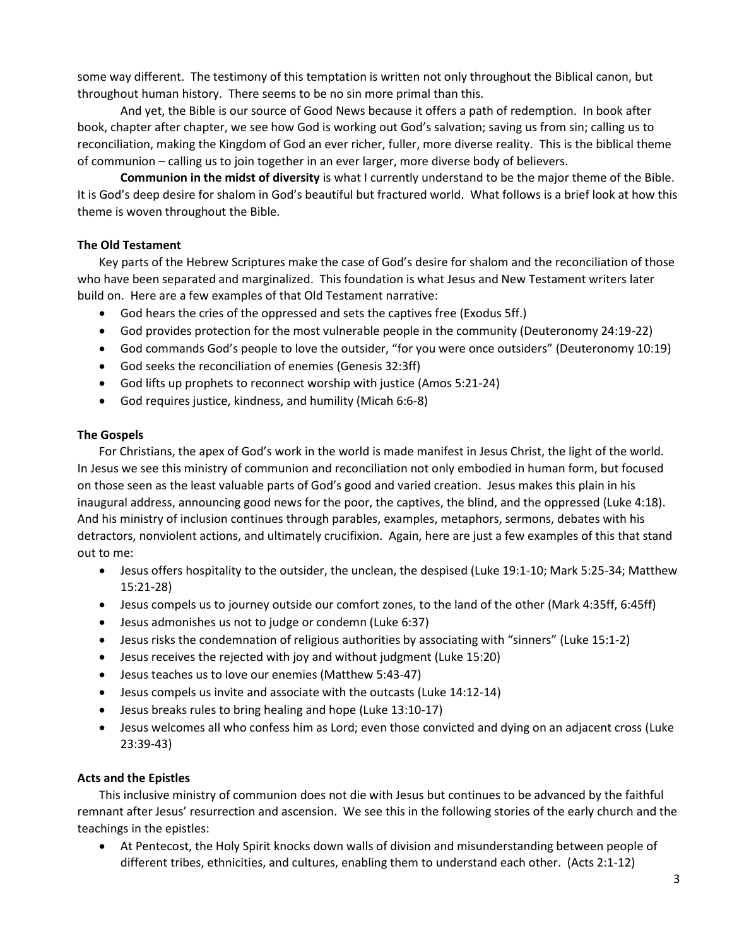some way different. The testimony of this temptation is written not only throughout the Biblical canon, but throughout human history. There seems to be no sin more primal than this.

And yet, the Bible is our source of Good News because it offers a path of redemption. In book after book, chapter after chapter, we see how God is working out God's salvation; saving us from sin; calling us to reconciliation, making the Kingdom of God an ever richer, fuller, more diverse reality. This is the biblical theme of communion – calling us to join together in an ever larger, more diverse body of believers.

**Communion in the midst of diversity** is what I currently understand to be the major theme of the Bible. It is God's deep desire for shalom in God's beautiful but fractured world. What follows is a brief look at how this theme is woven throughout the Bible.

# **The Old Testament**

Key parts of the Hebrew Scriptures make the case of God's desire for shalom and the reconciliation of those who have been separated and marginalized. This foundation is what Jesus and New Testament writers later build on. Here are a few examples of that Old Testament narrative:

- God hears the cries of the oppressed and sets the captives free (Exodus 5ff.)
- God provides protection for the most vulnerable people in the community (Deuteronomy 24:19-22)
- God commands God's people to love the outsider, "for you were once outsiders" (Deuteronomy 10:19)
- God seeks the reconciliation of enemies (Genesis 32:3ff)
- God lifts up prophets to reconnect worship with justice (Amos 5:21-24)
- God requires justice, kindness, and humility (Micah 6:6-8)

# **The Gospels**

For Christians, the apex of God's work in the world is made manifest in Jesus Christ, the light of the world. In Jesus we see this ministry of communion and reconciliation not only embodied in human form, but focused on those seen as the least valuable parts of God's good and varied creation. Jesus makes this plain in his inaugural address, announcing good news for the poor, the captives, the blind, and the oppressed (Luke 4:18). And his ministry of inclusion continues through parables, examples, metaphors, sermons, debates with his detractors, nonviolent actions, and ultimately crucifixion. Again, here are just a few examples of this that stand out to me:

- Jesus offers hospitality to the outsider, the unclean, the despised (Luke 19:1-10; Mark 5:25-34; Matthew 15:21-28)
- Jesus compels us to journey outside our comfort zones, to the land of the other (Mark 4:35ff, 6:45ff)
- Jesus admonishes us not to judge or condemn (Luke 6:37)
- Jesus risks the condemnation of religious authorities by associating with "sinners" (Luke 15:1-2)
- Jesus receives the rejected with joy and without judgment (Luke 15:20)
- Jesus teaches us to love our enemies (Matthew 5:43-47)
- Jesus compels us invite and associate with the outcasts (Luke 14:12-14)
- Jesus breaks rules to bring healing and hope (Luke 13:10-17)
- Jesus welcomes all who confess him as Lord; even those convicted and dying on an adjacent cross (Luke 23:39-43)

# **Acts and the Epistles**

This inclusive ministry of communion does not die with Jesus but continues to be advanced by the faithful remnant after Jesus' resurrection and ascension. We see this in the following stories of the early church and the teachings in the epistles:

 At Pentecost, the Holy Spirit knocks down walls of division and misunderstanding between people of different tribes, ethnicities, and cultures, enabling them to understand each other. (Acts 2:1-12)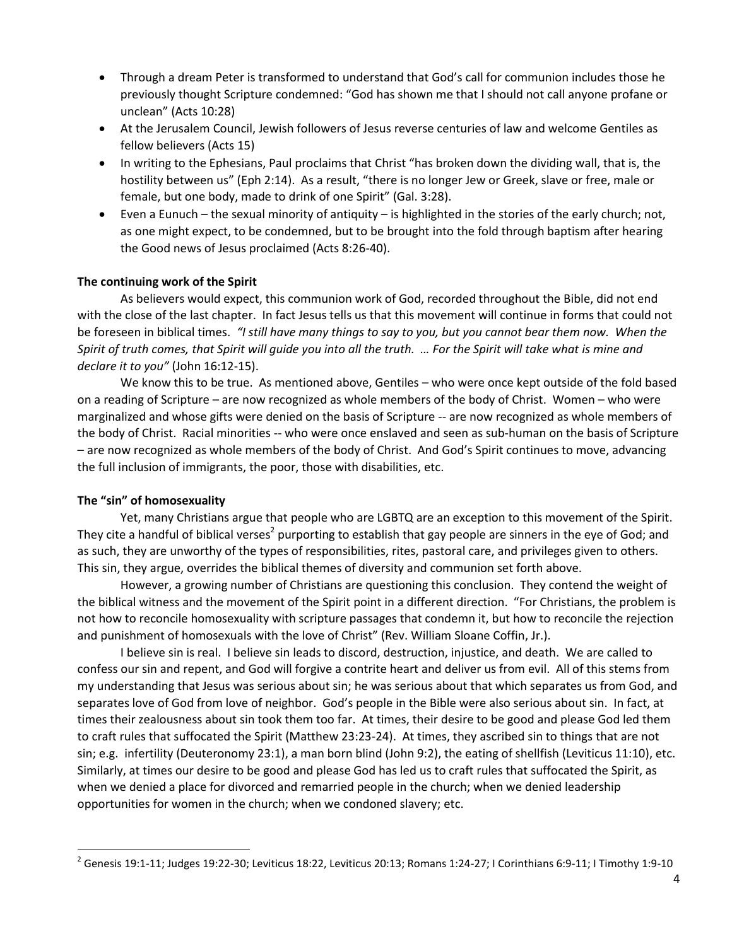- Through a dream Peter is transformed to understand that God's call for communion includes those he previously thought Scripture condemned: "God has shown me that I should not call anyone profane or unclean" (Acts 10:28)
- At the Jerusalem Council, Jewish followers of Jesus reverse centuries of law and welcome Gentiles as fellow believers (Acts 15)
- In writing to the Ephesians, Paul proclaims that Christ "has broken down the dividing wall, that is, the hostility between us" (Eph 2:14). As a result, "there is no longer Jew or Greek, slave or free, male or female, but one body, made to drink of one Spirit" (Gal. 3:28).
- Even a Eunuch the sexual minority of antiquity is highlighted in the stories of the early church; not, as one might expect, to be condemned, but to be brought into the fold through baptism after hearing the Good news of Jesus proclaimed (Acts 8:26-40).

#### **The continuing work of the Spirit**

As believers would expect, this communion work of God, recorded throughout the Bible, did not end with the close of the last chapter. In fact Jesus tells us that this movement will continue in forms that could not be foreseen in biblical times. *"I still have many things to say to you, but you cannot bear them now. When the Spirit of truth comes, that Spirit will guide you into all the truth. … For the Spirit will take what is mine and declare it to you"* (John 16:12-15).

We know this to be true. As mentioned above, Gentiles – who were once kept outside of the fold based on a reading of Scripture – are now recognized as whole members of the body of Christ. Women – who were marginalized and whose gifts were denied on the basis of Scripture -- are now recognized as whole members of the body of Christ. Racial minorities -- who were once enslaved and seen as sub-human on the basis of Scripture – are now recognized as whole members of the body of Christ. And God's Spirit continues to move, advancing the full inclusion of immigrants, the poor, those with disabilities, etc.

#### **The "sin" of homosexuality**

 $\overline{a}$ 

Yet, many Christians argue that people who are LGBTQ are an exception to this movement of the Spirit. They cite a handful of biblical verses<sup>2</sup> purporting to establish that gay people are sinners in the eye of God; and as such, they are unworthy of the types of responsibilities, rites, pastoral care, and privileges given to others. This sin, they argue, overrides the biblical themes of diversity and communion set forth above.

However, a growing number of Christians are questioning this conclusion. They contend the weight of the biblical witness and the movement of the Spirit point in a different direction. "For Christians, the problem is not how to reconcile homosexuality with scripture passages that condemn it, but how to reconcile the rejection and punishment of homosexuals with the love of Christ" (Rev. William Sloane Coffin, Jr.).

I believe sin is real. I believe sin leads to discord, destruction, injustice, and death. We are called to confess our sin and repent, and God will forgive a contrite heart and deliver us from evil. All of this stems from my understanding that Jesus was serious about sin; he was serious about that which separates us from God, and separates love of God from love of neighbor. God's people in the Bible were also serious about sin. In fact, at times their zealousness about sin took them too far. At times, their desire to be good and please God led them to craft rules that suffocated the Spirit (Matthew 23:23-24). At times, they ascribed sin to things that are not sin; e.g. infertility (Deuteronomy 23:1), a man born blind (John 9:2), the eating of shellfish (Leviticus 11:10), etc. Similarly, at times our desire to be good and please God has led us to craft rules that suffocated the Spirit, as when we denied a place for divorced and remarried people in the church; when we denied leadership opportunities for women in the church; when we condoned slavery; etc.

 $^2$  Genesis 19:1-11; Judges 19:22-30; Leviticus 18:22, Leviticus 20:13; Romans 1:24-27; I Corinthians 6:9-11; I Timothy 1:9-10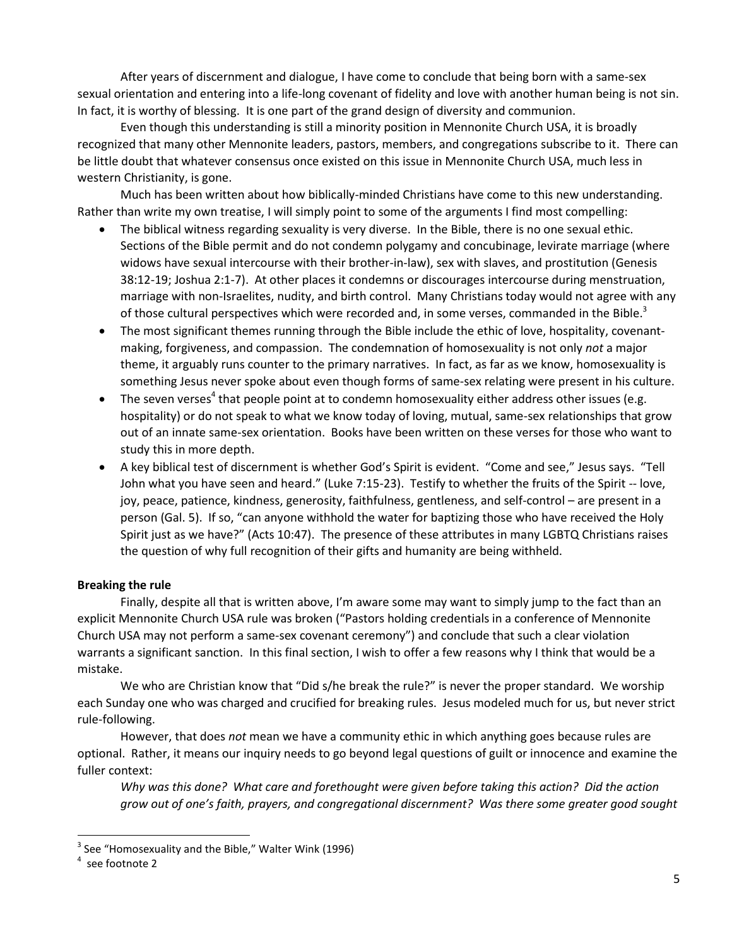After years of discernment and dialogue, I have come to conclude that being born with a same-sex sexual orientation and entering into a life-long covenant of fidelity and love with another human being is not sin. In fact, it is worthy of blessing. It is one part of the grand design of diversity and communion.

Even though this understanding is still a minority position in Mennonite Church USA, it is broadly recognized that many other Mennonite leaders, pastors, members, and congregations subscribe to it. There can be little doubt that whatever consensus once existed on this issue in Mennonite Church USA, much less in western Christianity, is gone.

Much has been written about how biblically-minded Christians have come to this new understanding. Rather than write my own treatise, I will simply point to some of the arguments I find most compelling:

- The biblical witness regarding sexuality is very diverse. In the Bible, there is no one sexual ethic. Sections of the Bible permit and do not condemn polygamy and concubinage, levirate marriage (where widows have sexual intercourse with their brother-in-law), sex with slaves, and prostitution (Genesis 38:12-19; Joshua 2:1-7). At other places it condemns or discourages intercourse during menstruation, marriage with non-Israelites, nudity, and birth control. Many Christians today would not agree with any of those cultural perspectives which were recorded and, in some verses, commanded in the Bible.<sup>3</sup>
- The most significant themes running through the Bible include the ethic of love, hospitality, covenantmaking, forgiveness, and compassion. The condemnation of homosexuality is not only *not* a major theme, it arguably runs counter to the primary narratives. In fact, as far as we know, homosexuality is something Jesus never spoke about even though forms of same-sex relating were present in his culture.
- $\bullet$  The seven verses<sup>4</sup> that people point at to condemn homosexuality either address other issues (e.g. hospitality) or do not speak to what we know today of loving, mutual, same-sex relationships that grow out of an innate same-sex orientation. Books have been written on these verses for those who want to study this in more depth.
- A key biblical test of discernment is whether God's Spirit is evident. "Come and see," Jesus says. "Tell John what you have seen and heard." (Luke 7:15-23). Testify to whether the fruits of the Spirit -- love, joy, peace, patience, kindness, generosity, faithfulness, gentleness, and self-control – are present in a person (Gal. 5). If so, "can anyone withhold the water for baptizing those who have received the Holy Spirit just as we have?" (Acts 10:47). The presence of these attributes in many LGBTQ Christians raises the question of why full recognition of their gifts and humanity are being withheld.

# **Breaking the rule**

Finally, despite all that is written above, I'm aware some may want to simply jump to the fact than an explicit Mennonite Church USA rule was broken ("Pastors holding credentials in a conference of Mennonite Church USA may not perform a same-sex covenant ceremony") and conclude that such a clear violation warrants a significant sanction. In this final section, I wish to offer a few reasons why I think that would be a mistake.

We who are Christian know that "Did s/he break the rule?" is never the proper standard. We worship each Sunday one who was charged and crucified for breaking rules. Jesus modeled much for us, but never strict rule-following.

However, that does *not* mean we have a community ethic in which anything goes because rules are optional. Rather, it means our inquiry needs to go beyond legal questions of guilt or innocence and examine the fuller context:

*Why was this done? What care and forethought were given before taking this action? Did the action grow out of one's faith, prayers, and congregational discernment? Was there some greater good sought*

 $\overline{a}$ 

 $3$  See "Homosexuality and the Bible," Walter Wink (1996)

<sup>4</sup> see footnote 2